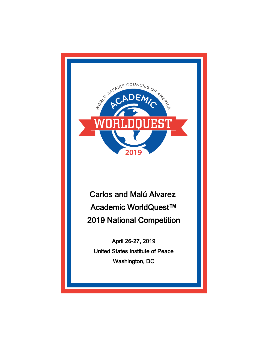

Carlos and Malú Alvarez Academic WorldQuest™ 2019 National Competition

April 26-27, 2019 United States Institute of Peace Washington, DC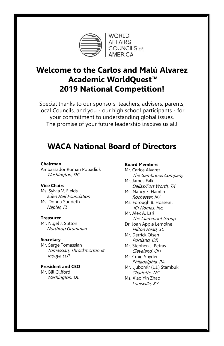

**WORLD AFFAIRS** COUNCILS of<br>AMERICA

# **Welcome to the Carlos and Malú Alvarez Academic WorldQuest™ 2019 National Competition!**

Special thanks to our sponsors, teachers, advisers, parents, local Councils, and you - our high school participants - for your commitment to understanding global issues. The promise of your future leadership inspires us all!

## **WACA National Board of Directors**

#### **Chairman**

Ambassador Roman Popadiuk Washington, DC

#### **Vice Chairs**

Ms. Sylvia V. Fields Eden Hall Foundation Ms. Donna Suddeth Naples, FL

#### **Treasurer**

Mr. Nigel J. Sutton Northrop Grumman

#### **Secretary**

Mr. Serge Tomassian Tomassian, Throckmorton & Inouye LLP

**President and CEO** Mr. Bill Clifford Washington, DC

#### **Board Members**

Mr. Carlos Alvarez The Gambrinus Company Mr. James Falk

- Dallas/Fort Worth, TX Ms. Nancy F. Hamlin
- Rochester, NY Ms. Forough B. Hosseini
- ICI Homes, Inc.
- Mr. Alex A. Lari The Claremont Group
- Dr. Joan Apple Lemoine Hilton Head, SC
- Mr. Derrick Olsen Portland, OR
- Mr. Stephen J. Petras Cleveland, OH
- Mr. Craig Snyder Philadelphia, PA
- Mr. Ljubomir (L.J.) Stambuk Charlotte, NC
- Ms. Xiao Yin Zhao Louisville, KY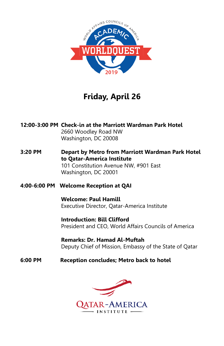

# **Friday, April 26**

**12:00-3:00 PM Check-in at the Marriott Wardman Park Hotel** 2660 Woodley Road NW Washington, DC 20008

**3:20 PM Depart by Metro from Marriott Wardman Park Hotel to Qatar-America Institute**  101 Constitution Avenue NW, #901 East Washington, DC 20001

### **4:00-6:00 PM Welcome Reception at QAI**

**Welcome: Paul Hamill** Executive Director, Qatar-America Institute

**Introduction: Bill Clifford** President and CEO, World Affairs Councils of America

**Remarks: Dr. Hamad Al-Muftah** Deputy Chief of Mission, Embassy of the State of Qatar

### **6:00 PM Reception concludes; Metro back to hotel**

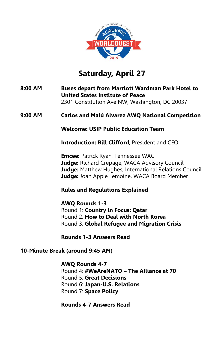

# **Saturday, April 27**

**8:00 AM Buses depart from Marriott Wardman Park Hotel to United States Institute of Peace**  2301 Constitution Ave NW, Washington, DC 20037

### **9:00 AM Carlos and Malú Alvarez AWQ National Competition**

**Welcome: USIP Public Education Team**

**Introduction: Bill Clifford**, President and CEO

**Emcee:** Patrick Ryan, Tennessee WAC **Judge:** Richard Crepage, WACA Advisory Council **Judge:** Matthew Hughes, International Relations Council **Judge:** Joan Apple Lemoine, WACA Board Member

### **Rules and Regulations Explained**

**AWQ Rounds 1-3** Round 1: **Country in Focus: Qatar** Round 2: **How to Deal with North Korea** Round 3: **Global Refugee and Migration Crisis**

**Rounds 1-3 Answers Read** 

### **10-Minute Break (around 9:45 AM)**

#### **AWQ Rounds 4-7**

Round 4: **#WeAreNATO – The Alliance at 70** Round 5: **Great Decisions** Round 6: **Japan-U.S. Relations**  Round 7: **Space Policy**

### **Rounds 4-7 Answers Read**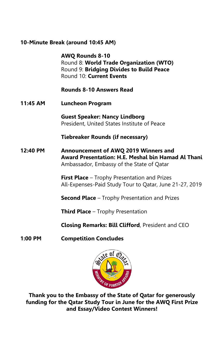### **10-Minute Break (around 10:45 AM)**

**AWQ Rounds 8-10** Round 8: **World Trade Organization (WTO)** Round 9: **Bridging Divides to Build Peace** Round 10: **Current Events**

**Rounds 8-10 Answers Read**

**11:45 AM Luncheon Program**

**Guest Speaker: Nancy Lindborg** President, United States Institute of Peace

**Tiebreaker Rounds (if necessary)**

**12:40 PM Announcement of AWQ 2019 Winners and Award Presentation: H.E. Meshal bin Hamad Al Thani** Ambassador, Embassy of the State of Qatar

> **First Place** – Trophy Presentation and Prizes All-Expenses-Paid Study Tour to Qatar, June 21-27, 2019

**Second Place** – Trophy Presentation and Prizes

**Third Place** – Trophy Presentation

**Closing Remarks: Bill Clifford**, President and CEO

**1:00 PM Competition Concludes**



**Thank you to the Embassy of the State of Qatar for generously funding for the Qatar Study Tour in June for the AWQ First Prize and Essay/Video Contest Winners!**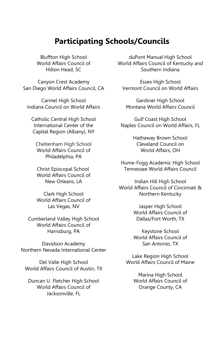## **Participating Schools/Councils**

Bluffton High School World Affairs Council of Hilton Head, SC

Canyon Crest Academy San Diego World Affairs Council, CA

Carmel High School Indiana Council on World Affairs

Catholic Central High School International Center of the Capital Region (Albany), NY

Cheltenham High School World Affairs Council of Philadelphia, PA

Christ Episcopal School World Affairs Council of New Orleans, LA

Clark High School World Affairs Council of Las Vegas, NV

Cumberland Valley High School World Affairs Council of Harrisburg, PA

Davidson Academy Northern Nevada International Center

Del Valle High School World Affairs Council of Austin, TX

Duncan U. Fletcher High School World Affairs Council of Jacksonville, FL

duPont Manual High School World Affairs Council of Kentucky and Southern Indiana

Essex High School Vermont Council on World Affairs

Gardiner High School Montana World Affairs Council

Gulf Coast High School Naples Council on World Affairs, FL

> Hathaway Brown School Cleveland Council on World Affairs, OH

Hume-Fogg Academic High School Tennessee World Affairs Council

Indian Hill High School World Affairs Council of Cincinnati & Northern Kentucky

> Jasper High School World Affairs Council of Dallas/Fort Worth, TX

> Keystone School World Affairs Council of San Antonio, TX

Lake Region High School World Affairs Council of Maine

> Marina High School World Affairs Council of Orange County, CA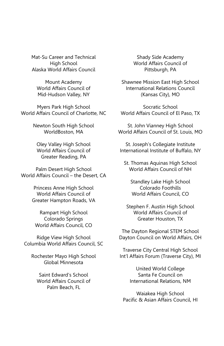Mat-Su Career and Technical High School Alaska World Affairs Council

Mount Academy World Affairs Council of Mid-Hudson Valley, NY

Myers Park High School World Affairs Council of Charlotte, NC

> Newton South High School WorldBoston, MA

Oley Valley High School World Affairs Council of Greater Reading, PA

Palm Desert High School World Affairs Council – the Desert, CA

> Princess Anne High School World Affairs Council of Greater Hampton Roads, VA

Rampart High School Colorado Springs World Affairs Council, CO

Ridge View High School Columbia World Affairs Council, SC

Rochester Mayo High School Global Minnesota

Saint Edward's School World Affairs Council of Palm Beach, FL

Shady Side Academy World Affairs Council of Pittsburgh, PA

Shawnee Mission East High School International Relations Council (Kansas City), MO

Socratic School World Affairs Council of El Paso, TX

St. John Vianney High School World Affairs Council of St. Louis, MO

St. Joseph's Collegiate Institute International Institute of Buffalo, NY

St. Thomas Aquinas High School World Affairs Council of NH

Standley Lake High School Colorado Foothills World Affairs Council, CO

Stephen F. Austin High School World Affairs Council of Greater Houston, TX

The Dayton Regional STEM School Dayton Council on World Affairs, OH

Traverse City Central High School Int'l Affairs Forum (Traverse City), MI

> United World College Santa Fe Council on International Relations, NM

Waiakea High School Pacific & Asian Affairs Council, HI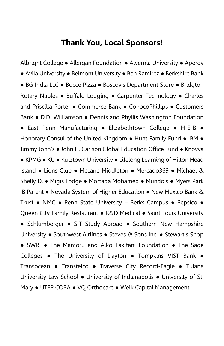## **Thank You, Local Sponsors!**

Albright College ● Allergan Foundation ● Alvernia University ● Apergy ● Avila University ● Belmont University ● Ben Ramirez ● Berkshire Bank ● BG India LLC ● Bocce Pizza ● Boscov's Department Store ● Bridgton Rotary Naples ● Buffalo Lodging ● Carpenter Technology ● Charles and Priscilla Porter ● Commerce Bank ● ConocoPhillips ● Customers Bank ● D.D. Williamson ● Dennis and Phyllis Washington Foundation ● East Penn Manufacturing ● Elizabethtown College ● H-E-B ● Honorary Consul of the United Kingdom ● Hunt Family Fund ● IBM ● Jimmy John's ● John H. Carlson Global Education Office Fund ● Knovva ● KPMG ● KU ● Kutztown University ● Lifelong Learning of Hilton Head Island ● Lions Club ● McLane Middleton ● Mercado369 ● Michael & Shelly D. ● Migis Lodge ● Mortada Mohamed ● Mundo's ● Myers Park IB Parent ● Nevada System of Higher Education ● New Mexico Bank & Trust ● NMC ● Penn State University – Berks Campus ● Pepsico ● Queen City Family Restaurant • R&D Medical • Saint Louis University ● Schlumberger ● SIT Study Abroad ● Southern New Hampshire University ● Southwest Airlines ● Steves & Sons Inc. ● Stewart's Shop ● SWRI • The Mamoru and Aiko Takitani Foundation • The Sage Colleges ● The University of Dayton ● Tompkins VIST Bank ● Transocean ● Transtelco ● Traverse City Record-Eagle ● Tulane University Law School ● University of Indianapolis ● University of St. Mary ● UTEP COBA ● VQ Orthocare ● Weik Capital Management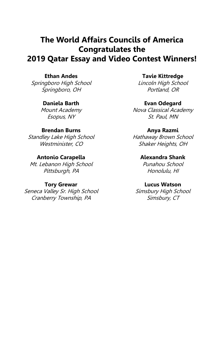## **The World Affairs Councils of America Congratulates the 2019 Qatar Essay and Video Contest Winners!**

### **Ethan Andes**

Springboro High School Springboro, OH

#### **Daniela Barth**

Mount Academy Esopus, NY

#### **Brendan Burns**

Standley Lake High School Westminister, CO

#### **Antonio Carapella**

Mt. Lebanon High School Pittsburgh, PA

#### **Tory Grewar**

Seneca Valley Sr. High School Cranberry Township, PA

**Tavie Kittredge** Lincoln High School

Portland, OR

#### **Evan Odegard**

Nova Classical Academy St. Paul, MN

#### **Anya Razmi**

Hathaway Brown School Shaker Heights, OH

#### **Alexandra Shank** Punahou School

Honolulu, HI

#### **Lucus Watson**

Simsbury High School Simsbury, CT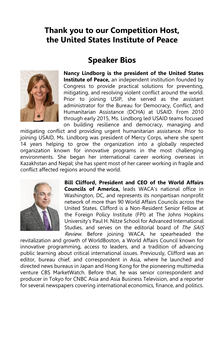## **Thank you to our Competition Host, the United States Institute of Peace**

## **Speaker Bios**



**Nancy Lindborg is the president of the United States Institute of Peace,** an independent institution founded by Congress to provide practical solutions for preventing, mitigating, and resolving violent conflict around the world. Prior to joining USIP, she served as the assistant administrator for the Bureau for Democracy, Conflict, and Humanitarian Assistance (DCHA) at USAID. From 2010 through early 2015, Ms. Lindborg led USAID teams focused on building resilience and democracy, managing and

mitigating conflict and providing urgent humanitarian assistance. Prior to joining USAID, Ms. Lindborg was president of Mercy Corps, where she spent 14 years helping to grow the organization into a globally respected organization known for innovative programs in the most challenging environments. She began her international career working overseas in Kazakhstan and Nepal; she has spent most of her career working in fragile and conflict affected regions around the world.



**Bill Clifford, President and CEO of the World Affairs Councils of America,** leads WACA's national office in Washington, DC, and represents its nonpartisan nonprofit network of more than 90 World Affairs Councils across the United States. Clifford is a Non-Resident Senior Fellow at the Foreign Policy Institute (FPI) at The Johns Hopkins University's Paul H. Nitze School for Advanced International Studies, and serves on the editorial board of The SAIS Review. Before joining WACA, he spearheaded the

revitalization and growth of WorldBoston, a World Affairs Council known for innovative programming, access to leaders, and a tradition of advancing public learning about critical international issues. Previously, Clifford was an editor, bureau chief, and correspondent in Asia, where he launched and directed news bureaus in Japan and Hong Kong for the pioneering multimedia venture CBS MarketWatch. Before that, he was senior correspondent and producer in Tokyo for CNBC Asia and Asia Business Television, and a reporter for several newspapers covering international economics, finance, and politics.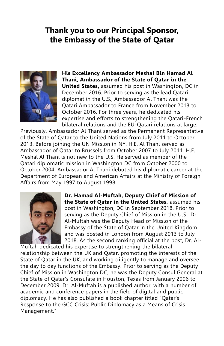## **Thank you to our Principal Sponsor, the Embassy of the State of Qatar**



**His Excellency Ambassador Meshal Bin Hamad Al Thani, Ambassador of the State of Qatar in the United States,** assumed his post in Washington, DC in December 2016. Prior to serving as the lead Qatari diplomat in the U.S., Ambassador Al Thani was the Qatari Ambassador to France from November 2013 to October 2016. For three years, he dedicated his expertise and efforts to strengthening the Qatari-French bilateral relations and the EU-Qatari relations at large.

Previously, Ambassador Al Thani served as the Permanent Representative of the State of Qatar to the United Nations from July 2011 to October 2013. Before joining the UN Mission in NY, H.E. Al Thani served as Ambassador of Qatar to Brussels from October 2007 to July 2011. H.E. Meshal Al Thani is not new to the U.S. He served as member of the Qatari diplomatic mission in Washington DC from October 2000 to October 2004. Ambassador Al Thani debuted his diplomatic career at the Department of European and American Affairs at the Ministry of Foreign Affairs from May 1997 to August 1998.



**Dr. Hamad Al-Muftah, Deputy Chief of Mission of the State of Qatar in the United States,** assumed his post in Washington, DC in September 2018. Prior to serving as the Deputy Chief of Mission in the U.S., Dr. Al-Muftah was the Deputy Head of Mission of the Embassy of the State of Qatar in the United Kingdom and was posted in London from August 2013 to July 2018. As the second ranking official at the post, Dr. Al-

Muftah dedicated his expertise to strengthening the bilateral relationship between the UK and Qatar, promoting the interests of the State of Qatar in the UK, and working diligently to manage and oversee the day to day functions of the Embassy. Prior to serving as the Deputy Chief of Mission in Washington DC, he was the Deputy Consul General at the State of Qatar's Consulate in Houston, Texas from January 2006 to December 2009. Dr. Al-Muftah is a published author, with a number of academic and conference papers in the field of digital and public diplomacy. He has also published a book chapter titled "Qatar's Response to the GCC Crisis: Public Diplomacy as a Means of Crisis Management."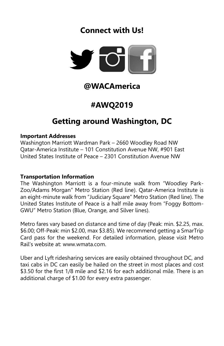# **Connect with Us!**



# **@WACAmerica**

# **#AWQ2019**

# **Getting around Washington, DC**

#### **Important Addresses**

Washington Marriott Wardman Park – 2660 Woodley Road NW Qatar-America Institute – 101 Constitution Avenue NW, #901 East United States Institute of Peace – 2301 Constitution Avenue NW

### **Transportation Information**

The Washington Marriott is a four-minute walk from "Woodley Park-Zoo/Adams Morgan" Metro Station (Red line). Qatar-America Institute is an eight-minute walk from "Judiciary Square" Metro Station (Red line). The United States Institute of Peace is a half mile away from "Foggy Bottom-GWU" Metro Station (Blue, Orange, and Silver lines).

Metro fares vary based on distance and time of day (Peak: min. \$2.25, max. \$6.00; Off-Peak: min \$2.00, max \$3.85). We recommend getting a SmarTrip Card pass for the weekend. For detailed information, please visit Metro Rail's website at: www.wmata.com.

Uber and Lyft ridesharing services are easily obtained throughout DC, and taxi cabs in DC can easily be hailed on the street in most places and cost \$3.50 for the first 1/8 mile and \$2.16 for each additional mile. There is an additional charge of \$1.00 for every extra passenger.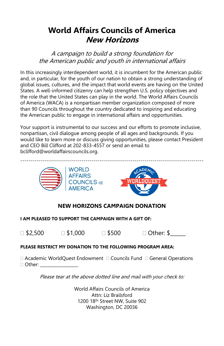# **World Affairs Councils of America New Horizons**

A campaign to build a strong foundation for the American public and youth in international affairs

In this increasingly interdependent world, it is incumbent for the American public and, in particular, for the youth of our nation to obtain a strong understanding of global issues, cultures, and the impact that world events are having on the United States. A well-informed citizenry can help strengthen U.S. policy objectives and the role that the United States can play in the world. The World Affairs Councils of America (WACA) is a nonpartisan member organization composed of more than 90 Councils throughout the country dedicated to inspiring and educating the American public to engage in international affairs and opportunities.

Your support is instrumental to our success and our efforts to promote inclusive, nonpartisan, civil dialogue among people of all ages and backgrounds. If you would like to learn more or discuss giving opportunities, please contact President and CEO Bill Clifford at 202-833-4557 or send an email to bclifford@worldaffairscouncils.org.



### **NEW HORIZONS CAMPAIGN DONATION**

#### **I AM PLEASED TO SUPPORT THE CAMPAIGN WITH A GIFT OF:**

 $\Box$  \$2,500  $\Box$  \$1,000  $\Box$  \$500  $\Box$  Other: \$

#### **PLEASE RESTRICT MY DONATION TO THE FOLLOWING PROGRAM AREA:**

□ Academic WorldQuest Endowment □ Councils Fund □ General Operations  $\Box$  Other:

Please tear at the above dotted line and mail with your check to:

World Affairs Councils of America Attn: Liz Brailsford 1200 18th Street NW, Suite 902 Washington, DC 20036